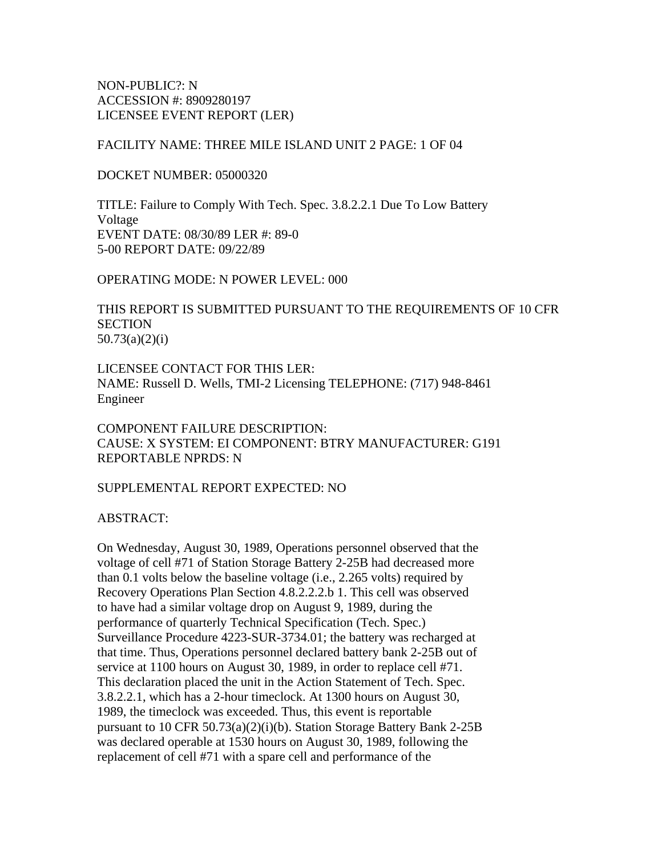NON-PUBLIC?: N ACCESSION #: 8909280197 LICENSEE EVENT REPORT (LER)

## FACILITY NAME: THREE MILE ISLAND UNIT 2 PAGE: 1 OF 04

DOCKET NUMBER: 05000320

TITLE: Failure to Comply With Tech. Spec. 3.8.2.2.1 Due To Low Battery Voltage EVENT DATE: 08/30/89 LER #: 89-0 5-00 REPORT DATE: 09/22/89

OPERATING MODE: N POWER LEVEL: 000

THIS REPORT IS SUBMITTED PURSUANT TO THE REQUIREMENTS OF 10 CFR **SECTION** 50.73(a)(2)(i)

LICENSEE CONTACT FOR THIS LER: NAME: Russell D. Wells, TMI-2 Licensing TELEPHONE: (717) 948-8461 Engineer

COMPONENT FAILURE DESCRIPTION: CAUSE: X SYSTEM: EI COMPONENT: BTRY MANUFACTURER: G191 REPORTABLE NPRDS: N

SUPPLEMENTAL REPORT EXPECTED: NO

ABSTRACT:

On Wednesday, August 30, 1989, Operations personnel observed that the voltage of cell #71 of Station Storage Battery 2-25B had decreased more than 0.1 volts below the baseline voltage (i.e., 2.265 volts) required by Recovery Operations Plan Section 4.8.2.2.2.b 1. This cell was observed to have had a similar voltage drop on August 9, 1989, during the performance of quarterly Technical Specification (Tech. Spec.) Surveillance Procedure 4223-SUR-3734.01; the battery was recharged at that time. Thus, Operations personnel declared battery bank 2-25B out of service at 1100 hours on August 30, 1989, in order to replace cell #71. This declaration placed the unit in the Action Statement of Tech. Spec. 3.8.2.2.1, which has a 2-hour timeclock. At 1300 hours on August 30, 1989, the timeclock was exceeded. Thus, this event is reportable pursuant to 10 CFR 50.73(a)(2)(i)(b). Station Storage Battery Bank 2-25B was declared operable at 1530 hours on August 30, 1989, following the replacement of cell #71 with a spare cell and performance of the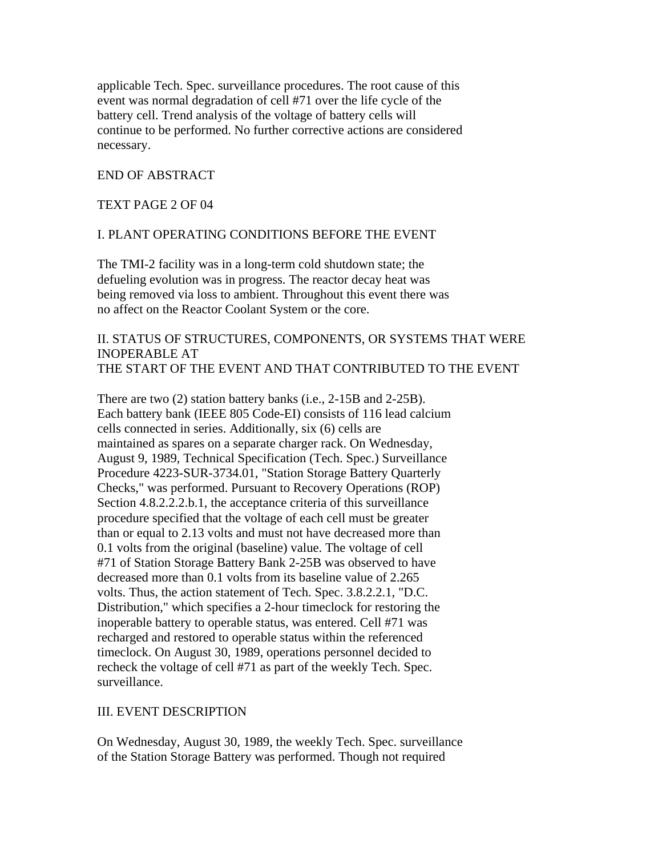applicable Tech. Spec. surveillance procedures. The root cause of this event was normal degradation of cell #71 over the life cycle of the battery cell. Trend analysis of the voltage of battery cells will continue to be performed. No further corrective actions are considered necessary.

### END OF ABSTRACT

#### TEXT PAGE 2 OF 04

#### I. PLANT OPERATING CONDITIONS BEFORE THE EVENT

The TMI-2 facility was in a long-term cold shutdown state; the defueling evolution was in progress. The reactor decay heat was being removed via loss to ambient. Throughout this event there was no affect on the Reactor Coolant System or the core.

## II. STATUS OF STRUCTURES, COMPONENTS, OR SYSTEMS THAT WERE INOPERABLE AT THE START OF THE EVENT AND THAT CONTRIBUTED TO THE EVENT

There are two (2) station battery banks (i.e., 2-15B and 2-25B). Each battery bank (IEEE 805 Code-EI) consists of 116 lead calcium cells connected in series. Additionally, six (6) cells are maintained as spares on a separate charger rack. On Wednesday, August 9, 1989, Technical Specification (Tech. Spec.) Surveillance Procedure 4223-SUR-3734.01, "Station Storage Battery Quarterly Checks," was performed. Pursuant to Recovery Operations (ROP) Section 4.8.2.2.2.b.1, the acceptance criteria of this surveillance procedure specified that the voltage of each cell must be greater than or equal to 2.13 volts and must not have decreased more than 0.1 volts from the original (baseline) value. The voltage of cell #71 of Station Storage Battery Bank 2-25B was observed to have decreased more than 0.1 volts from its baseline value of 2.265 volts. Thus, the action statement of Tech. Spec. 3.8.2.2.1, "D.C. Distribution," which specifies a 2-hour timeclock for restoring the inoperable battery to operable status, was entered. Cell #71 was recharged and restored to operable status within the referenced timeclock. On August 30, 1989, operations personnel decided to recheck the voltage of cell #71 as part of the weekly Tech. Spec. surveillance.

#### III. EVENT DESCRIPTION

On Wednesday, August 30, 1989, the weekly Tech. Spec. surveillance of the Station Storage Battery was performed. Though not required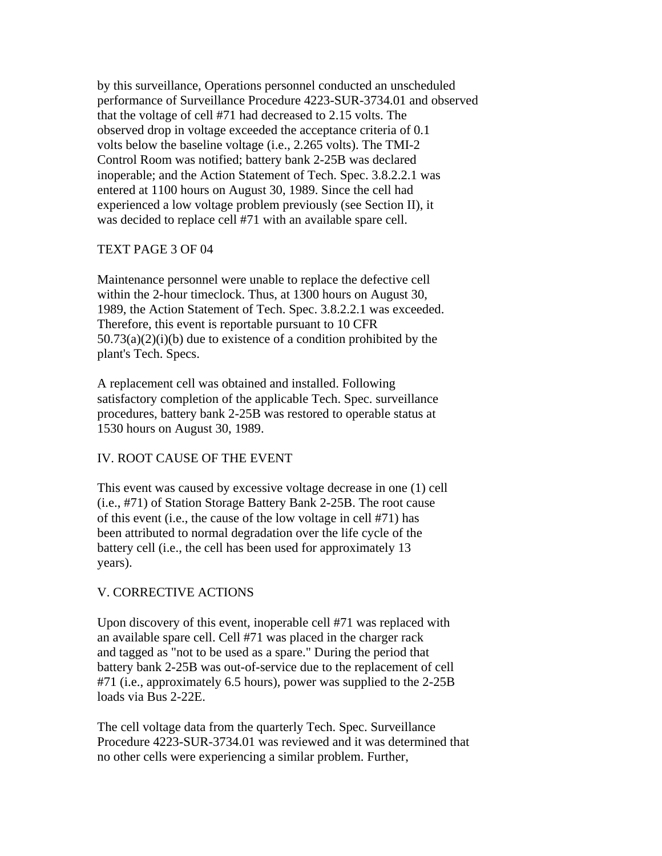by this surveillance, Operations personnel conducted an unscheduled performance of Surveillance Procedure 4223-SUR-3734.01 and observed that the voltage of cell #71 had decreased to 2.15 volts. The observed drop in voltage exceeded the acceptance criteria of 0.1 volts below the baseline voltage (i.e., 2.265 volts). The TMI-2 Control Room was notified; battery bank 2-25B was declared inoperable; and the Action Statement of Tech. Spec. 3.8.2.2.1 was entered at 1100 hours on August 30, 1989. Since the cell had experienced a low voltage problem previously (see Section II), it was decided to replace cell #71 with an available spare cell.

## TEXT PAGE 3 OF 04

Maintenance personnel were unable to replace the defective cell within the 2-hour timeclock. Thus, at 1300 hours on August 30, 1989, the Action Statement of Tech. Spec. 3.8.2.2.1 was exceeded. Therefore, this event is reportable pursuant to 10 CFR  $50.73(a)(2)(i)(b)$  due to existence of a condition prohibited by the plant's Tech. Specs.

A replacement cell was obtained and installed. Following satisfactory completion of the applicable Tech. Spec. surveillance procedures, battery bank 2-25B was restored to operable status at 1530 hours on August 30, 1989.

# IV. ROOT CAUSE OF THE EVENT

This event was caused by excessive voltage decrease in one (1) cell (i.e., #71) of Station Storage Battery Bank 2-25B. The root cause of this event (i.e., the cause of the low voltage in cell #71) has been attributed to normal degradation over the life cycle of the battery cell (i.e., the cell has been used for approximately 13 years).

# V. CORRECTIVE ACTIONS

Upon discovery of this event, inoperable cell #71 was replaced with an available spare cell. Cell #71 was placed in the charger rack and tagged as "not to be used as a spare." During the period that battery bank 2-25B was out-of-service due to the replacement of cell #71 (i.e., approximately 6.5 hours), power was supplied to the 2-25B loads via Bus 2-22E.

The cell voltage data from the quarterly Tech. Spec. Surveillance Procedure 4223-SUR-3734.01 was reviewed and it was determined that no other cells were experiencing a similar problem. Further,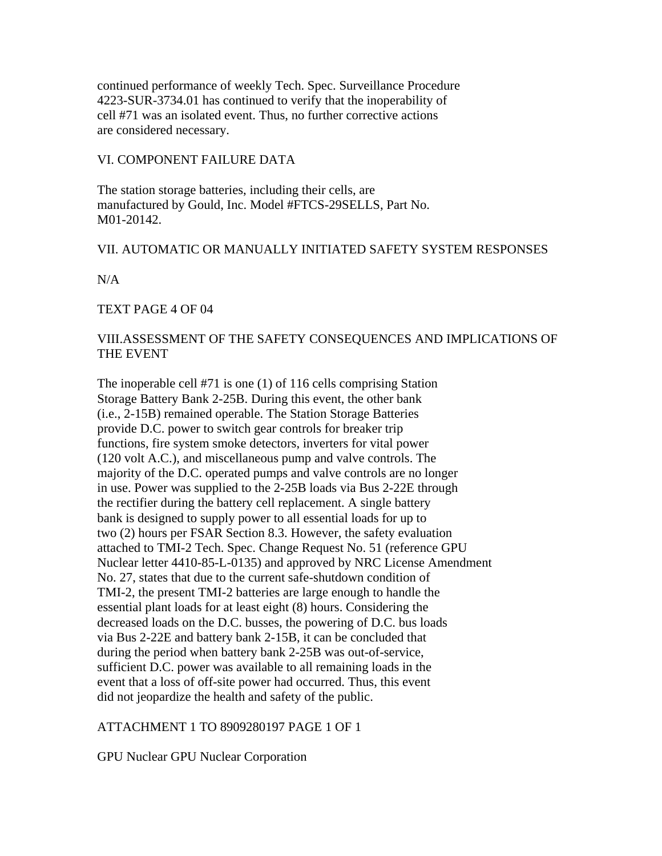continued performance of weekly Tech. Spec. Surveillance Procedure 4223-SUR-3734.01 has continued to verify that the inoperability of cell #71 was an isolated event. Thus, no further corrective actions are considered necessary.

## VI. COMPONENT FAILURE DATA

The station storage batteries, including their cells, are manufactured by Gould, Inc. Model #FTCS-29SELLS, Part No. M01-20142.

## VII. AUTOMATIC OR MANUALLY INITIATED SAFETY SYSTEM RESPONSES

N/A

TEXT PAGE 4 OF 04

# VIII.ASSESSMENT OF THE SAFETY CONSEQUENCES AND IMPLICATIONS OF THE EVENT

The inoperable cell #71 is one (1) of 116 cells comprising Station Storage Battery Bank 2-25B. During this event, the other bank (i.e., 2-15B) remained operable. The Station Storage Batteries provide D.C. power to switch gear controls for breaker trip functions, fire system smoke detectors, inverters for vital power (120 volt A.C.), and miscellaneous pump and valve controls. The majority of the D.C. operated pumps and valve controls are no longer in use. Power was supplied to the 2-25B loads via Bus 2-22E through the rectifier during the battery cell replacement. A single battery bank is designed to supply power to all essential loads for up to two (2) hours per FSAR Section 8.3. However, the safety evaluation attached to TMI-2 Tech. Spec. Change Request No. 51 (reference GPU Nuclear letter 4410-85-L-0135) and approved by NRC License Amendment No. 27, states that due to the current safe-shutdown condition of TMI-2, the present TMI-2 batteries are large enough to handle the essential plant loads for at least eight (8) hours. Considering the decreased loads on the D.C. busses, the powering of D.C. bus loads via Bus 2-22E and battery bank 2-15B, it can be concluded that during the period when battery bank 2-25B was out-of-service, sufficient D.C. power was available to all remaining loads in the event that a loss of off-site power had occurred. Thus, this event did not jeopardize the health and safety of the public.

## ATTACHMENT 1 TO 8909280197 PAGE 1 OF 1

GPU Nuclear GPU Nuclear Corporation